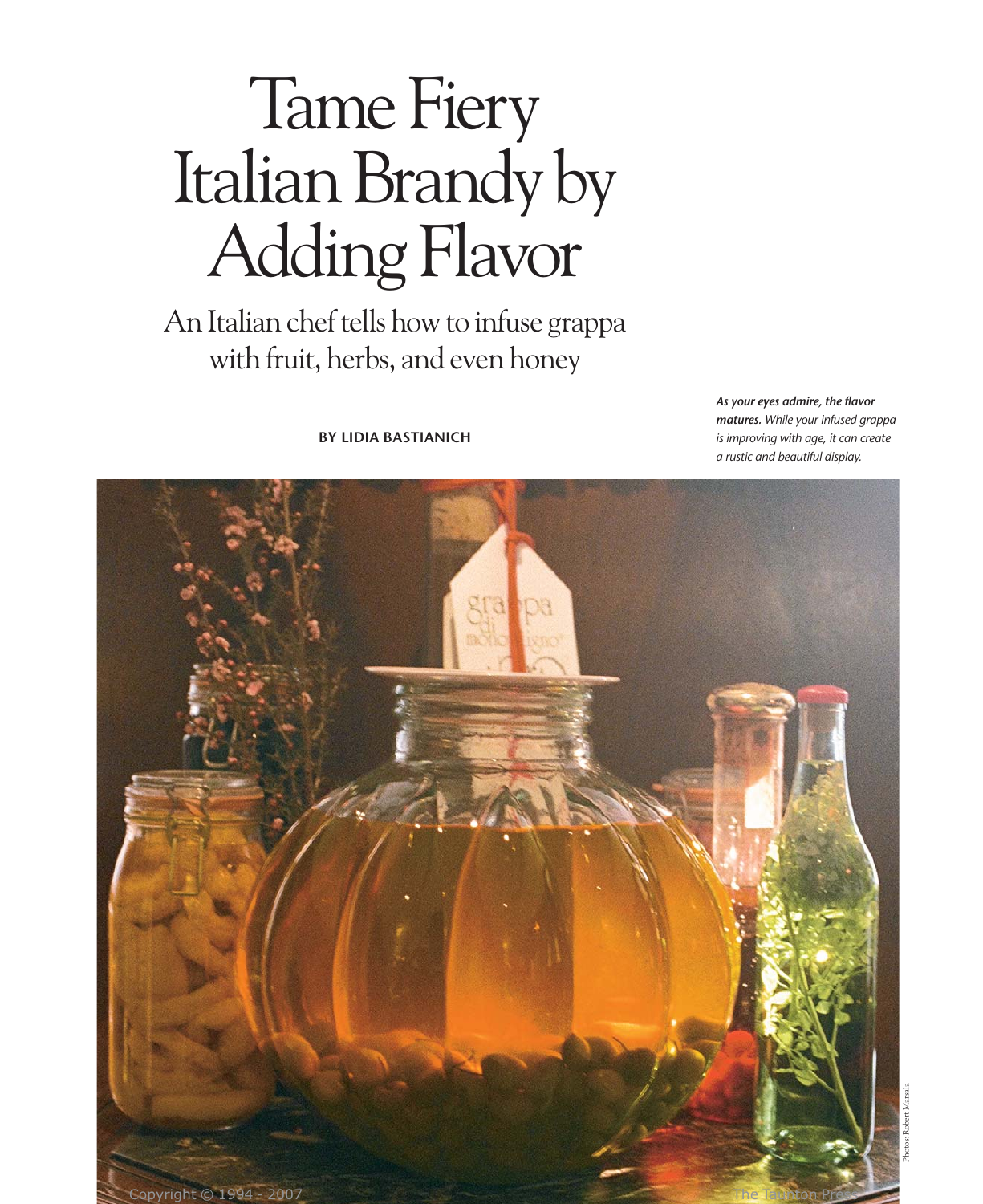# Tame Fiery Italian Brandy by Adding Flavor

An Italian chef tells how to infuse grappa with fruit, herbs, and even honey

**BY LIDIA BASTIANICH**

*As your eyes admire, the flavor matures. While your infused grappa is improving with age, it can create a rustic and beautiful display.*

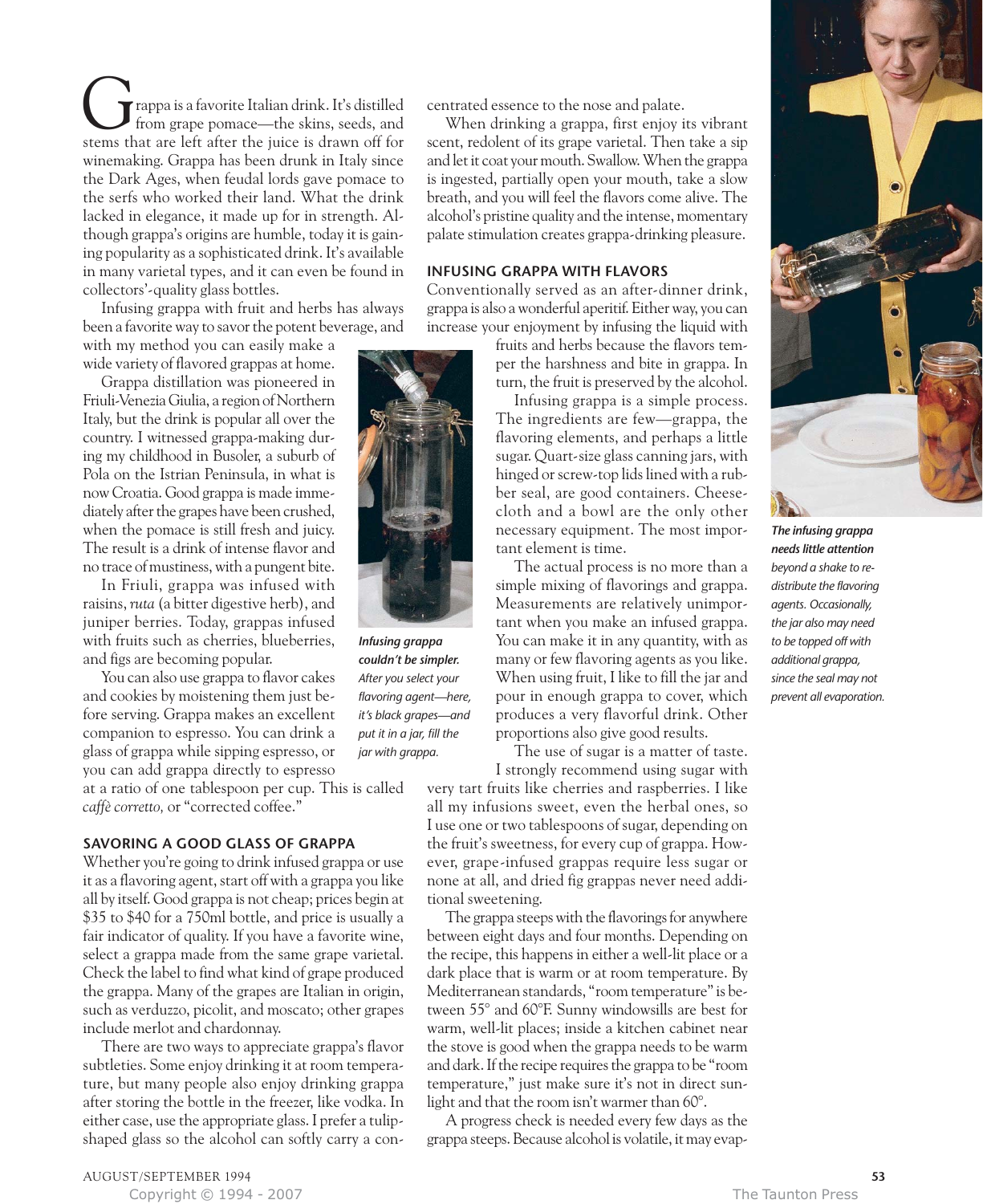rappa is a favorite Italian drink. It's distilled from grape pomace—the skins, seeds, and Trappa is a favorite Italian drink. It's distilled<br>from grape pomace—the skins, seeds, and<br>stems that are left after the juice is drawn off for winemaking. Grappa has been drunk in Italy since the Dark Ages, when feudal lords gave pomace to the serfs who worked their land. What the drink lacked in elegance, it made up for in strength. Although grappa's origins are humble, today it is gaining popularity as a sophisticated drink. It's available in many varietal types, and it can even be found in collectors'-quality glass bottles.

Infusing grappa with fruit and herbs has always been a favorite way to savor the potent beverage, and

with my method you can easily make a wide variety of flavored grappas at home.

Grappa distillation was pioneered in Friuli-Venezia Giulia, a region of Northern Italy, but the drink is popular all over the country. I witnessed grappa-making during my childhood in Busoler, a suburb of Pola on the Istrian Peninsula, in what is now Croatia. Good grappa is made immediately after the grapes have been crushed, when the pomace is still fresh and juicy. The result is a drink of intense flavor and no trace of mustiness, with a pungent bite.

In Friuli, grappa was infused with raisins, *ruta* (a bitter digestive herb), and juniper berries. Today, grappas infused with fruits such as cherries, blueberries, and figs are becoming popular.

You can also use grappa to flavor cakes and cookies by moistening them just before serving. Grappa makes an excellent companion to espresso. You can drink a glass of grappa while sipping espresso, or you can add grappa directly to espresso

at a ratio of one tablespoon per cup. This is called *caffè corretto,* or "corrected coffee."

# **SAVORING A GOOD GLASS OF GRAPPA**

Whether you're going to drink infused grappa or use it as a flavoring agent, start off with a grappa you like all by itself. Good grappa is not cheap; prices begin at \$35 to \$40 for a 750ml bottle, and price is usually a fair indicator of quality. If you have a favorite wine, select a grappa made from the same grape varietal. Check the label to find what kind of grape produced the grappa. Many of the grapes are Italian in origin, such as verduzzo, picolit, and moscato; other grapes include merlot and chardonnay.

There are two ways to appreciate grappa's flavor subtleties. Some enjoy drinking it at room temperature, but many people also enjoy drinking grappa after storing the bottle in the freezer, like vodka. In either case, use the appropriate glass. I prefer a tulipshaped glass so the alcohol can softly carry a concentrated essence to the nose and palate.

When drinking a grappa, first enjoy its vibrant scent, redolent of its grape varietal. Then take a sip and let it coat your mouth. Swallow. When the grappa is ingested, partially open your mouth, take a slow breath, and you will feel the flavors come alive. The alcohol's pristine quality and the intense, momentary palate stimulation creates grappa-drinking pleasure.

# **INFUSING GRAPPA WITH FLAVORS**

Conventionally served as an after-dinner drink, grappa is also a wonderful aperitif. Either way, you can increase your enjoyment by infusing the liquid with

> fruits and herbs because the flavors temper the harshness and bite in grappa. In turn, the fruit is preserved by the alcohol.

> Infusing grappa is a simple process. The ingredients are few—grappa, the flavoring elements, and perhaps a little sugar. Quart-size glass canning jars, with hinged or screw-top lids lined with a rubber seal, are good containers. Cheesecloth and a bowl are the only other necessary equipment. The most important element is time.

> The actual process is no more than a simple mixing of flavorings and grappa. Measurements are relatively unimportant when you make an infused grappa. You can make it in any quantity, with as many or few flavoring agents as you like. When using fruit, I like to fill the jar and pour in enough grappa to cover, which produces a very flavorful drink. Other proportions also give good results.

> The use of sugar is a matter of taste. I strongly recommend using sugar with

very tart fruits like cherries and raspberries. I like all my infusions sweet, even the herbal ones, so I use one or two tablespoons of sugar, depending on the fruit's sweetness, for every cup of grappa. However, grape-infused grappas require less sugar or none at all, and dried fig grappas never need additional sweetening.

The grappa steeps with the flavorings for anywhere between eight days and four months. Depending on the recipe, this happens in either a well-lit place or a dark place that is warm or at room temperature. By Mediterranean standards, "room temperature" is between 55° and 60°F. Sunny windowsills are best for warm, well-lit places; inside a kitchen cabinet near the stove is good when the grappa needs to be warm and dark. If the recipe requires the grappa to be "room temperature," just make sure it's not in direct sunlight and that the room isn't warmer than 60°.

A progress check is needed every few days as the grappa steeps. Because alcohol is volatile, it may evap-



*The infusing grappa needs little attention beyond a shake to redistribute the flavoring agents. Occasionally, the jar also may need to be topped off with additional grappa, since the seal may not prevent all evaporation.* 



*Infusing grappa couldn't be simpler. After you select your flavoring agent—here, it's black grapes—and put it in a jar, fill the jar with grappa.*